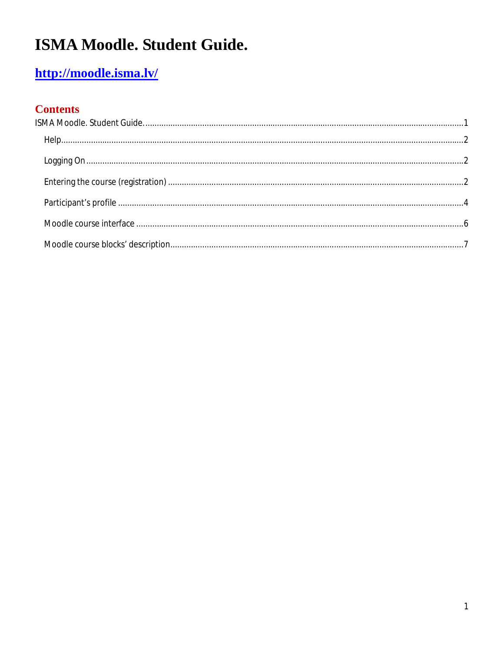# ISMA Moodle. Student Guide.

### http://moodle.isma.lv/

#### **Contents**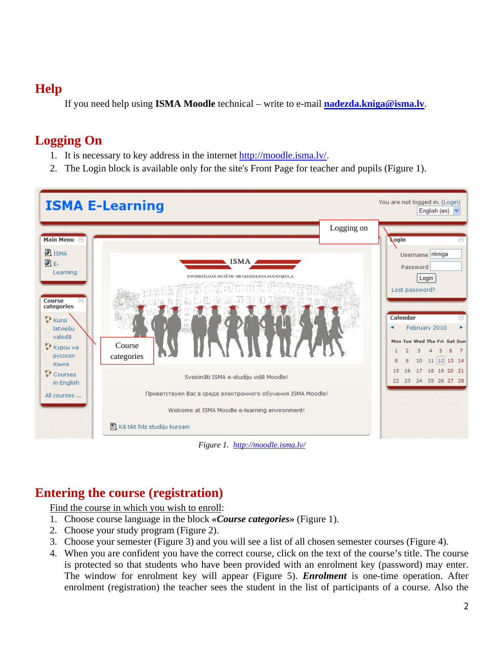#### **Help**

If you need help using **ISMA Moodle** technical – write to e-mail **nadezda.kniga@isma.lv**.

#### **Logging On**

- 1. It is necessary to key address in the internet http://moodle.isma.lv/.
- 2. The Login block is available only for the site's Front Page for teacher and pupils (Figure 1).



*Figure 1. http://moodle.isma.lv/*

#### **Entering the course (registration)**

Find the course in which you wish to enroll:

- 1. Choose course language in the block *«Course categories»* (Figure 1).
- 2. Choose your study program (Figure 2).
- 3. Choose your semester (Figure 3) and you will see a list of all chosen semester courses (Figure 4).
- 4. When you are confident you have the correct course, click on the text of the course's title. The course is protected so that students who have been provided with an enrolment key (password) may enter. The window for enrolment key will appear (Figure 5). *Enrolment* is one-time operation. After enrolment (registration) the teacher sees the student in the list of participants of a course. Also the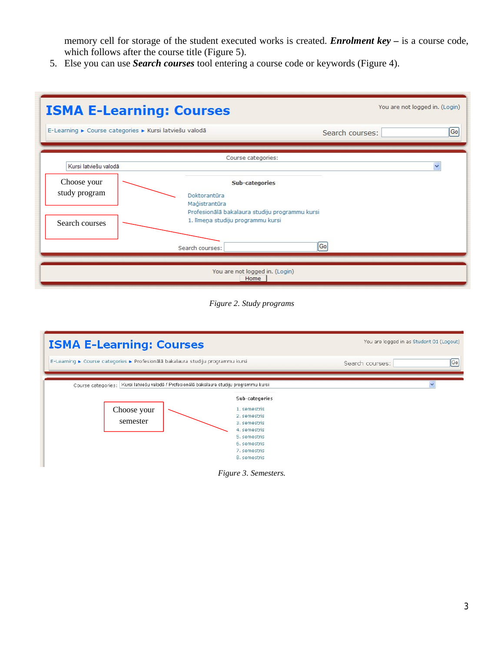memory cell for storage of the student executed works is created. *Enrolment key –* is a course code, which follows after the course title (Figure 5).

5. Else you can use *Search courses* tool entering a course code or keywords (Figure 4).



*Figure 2. Study programs*



*Figure 3. Semesters.*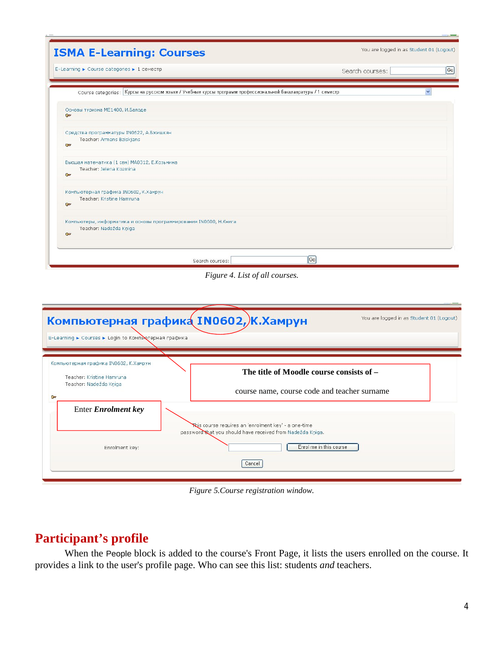| <b>ISMA E-Learning: Courses</b>                                                                               | You are logged in as Student 01 (Logout) |
|---------------------------------------------------------------------------------------------------------------|------------------------------------------|
| E-Learning ► Course categories ► 1 семестр                                                                    | $[G_0]$<br>Search courses:               |
| Course categories: Курсы на русском языке / Учебные курсы программ профессиональной бакалавратуры / 1 семестр |                                          |
| Основы туризма МЕ1400, И.Балоде<br>$\circ$                                                                    |                                          |
| Средства программатуры IN0622, А.Бжишкян<br>Teacher: Armans Bziskjans<br><b>Car</b>                           |                                          |
| Высшая математика (1 сем) МА0312, Е.Козьмина<br>Teacher: Jelena Kozmina<br>$\overline{a}$                     |                                          |
| Компьютерная графика IN0602, К.Хамрун<br>Teacher: Kristine Hamruna<br>$O =$                                   |                                          |
| Компьютеры, информатика и основы программирования IN0600, Н.Книга<br>Teacher: Nadežda Kniga<br>Gar            |                                          |
| $ \mathsf{Go} $<br>Search courses:                                                                            |                                          |

*Figure 4. List of all courses.*

| E-Learning ► Courses ► Login to Компь отерная графика                                                       | Компьютерная графика IN0602, К. Хамрун<br>You are logged in as Student 01 (Logout)                                 |
|-------------------------------------------------------------------------------------------------------------|--------------------------------------------------------------------------------------------------------------------|
| Компьютерная графика IN0602, К.Хамрун<br>Teacher: Kristine Hamruna<br>Teacher: Nadežda Kņiga<br><b>Oper</b> | The title of Moodle course consists of –<br>course name, course code and teacher surname                           |
| <b>Enter Enrolment key</b>                                                                                  | Khis course requires an 'enrolment key' - a one-time<br>password that you should have received from Nadežda Kniga. |
| Enrolment key:                                                                                              | Enrol me in this course<br>Cancel                                                                                  |

*Figure 5.Course registration window.*

#### **Participant's profile**

When the People block is added to the course's Front Page, it lists the users enrolled on the course. It provides a link to the user's profile page. Who can see this list: students *and* teachers.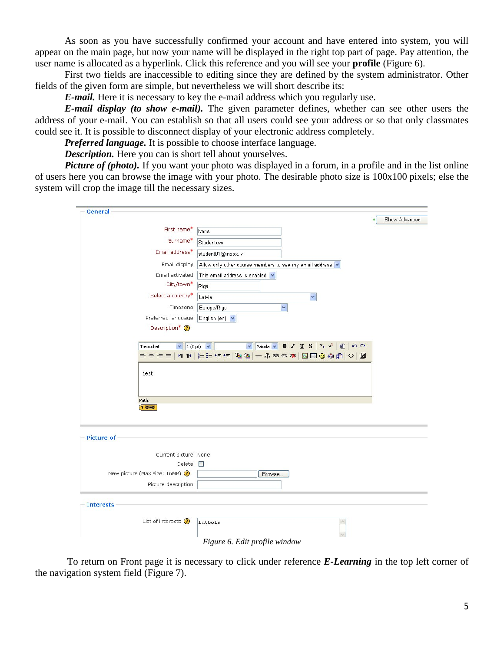As soon as you have successfully confirmed your account and have entered into system, you will appear on the main page, but now your name will be displayed in the right top part of page. Pay attention, the user name is allocated as a hyperlink. Click this reference and you will see your **profile** (Figure 6).

First two fields are inaccessible to editing since they are defined by the system administrator. Other fields of the given form are simple, but nevertheless we will short describe its:

*E-mail.* Here it is necessary to key the e-mail address which you regularly use.

*E-mail display (to show e-mail).* The given parameter defines, whether can see other users the address of your e-mail. You can establish so that all users could see your address or so that only classmates could see it. It is possible to disconnect display of your electronic address completely.

*Preferred language.* It is possible to choose interface language.

*Description.* Here you can is short tell about yourselves.

*Picture of (photo)*. If you want your photo was displayed in a forum, in a profile and in the list online of users here you can browse the image with your photo. The desirable photo size is 100x100 pixels; else the system will crop the image till the necessary sizes.

| General                             |                                                                                                                            |               |
|-------------------------------------|----------------------------------------------------------------------------------------------------------------------------|---------------|
| First name*                         |                                                                                                                            | Show Advanced |
| Surname*                            | lvans                                                                                                                      |               |
| Email address*                      | Studentovs                                                                                                                 |               |
|                                     | student01@inbox.lv                                                                                                         |               |
| Email display                       | Allow only other course members to see my email address v                                                                  |               |
| Email activated                     | This email address is enabled $\vee$                                                                                       |               |
| City/town*                          | Riga                                                                                                                       |               |
| Select a country*                   | Latvia<br>$\checkmark$                                                                                                     |               |
| Timezone                            | Europe/Riga<br>v                                                                                                           |               |
| Preferred language                  | English (en) $\vee$                                                                                                        |               |
| Description* <sup>1</sup>           |                                                                                                                            |               |
| $\vee$ 1 (8 pt) $\vee$<br>Trebuchet | Valoda $\vee$ <b>B</b> $I$ <b>U</b> $S$ $\mid$ $x_2$ $\mid x^2$ <b>M</b> <sup>2</sup><br>$\mathfrak{O}$ $\alpha$<br>$\vee$ |               |
| 医套套目                                | 111 1 三三年年 西公 一 小∞∞∞ 回口◎◎肉 ◇ 図                                                                                             |               |
| test                                |                                                                                                                            |               |
|                                     |                                                                                                                            |               |
| Path:                               |                                                                                                                            |               |
| (2, 2)                              |                                                                                                                            |               |
|                                     |                                                                                                                            |               |
| Picture of                          |                                                                                                                            |               |
|                                     |                                                                                                                            |               |
| Current picture None                |                                                                                                                            |               |
| Delete $\Box$                       |                                                                                                                            |               |
| New picture (Max size: 16MB) (      | Browse                                                                                                                     |               |
| Picture description                 |                                                                                                                            |               |
| <b>Interests</b>                    |                                                                                                                            |               |
|                                     |                                                                                                                            |               |
| List of interests $\bigcirc$        | futbols                                                                                                                    |               |
|                                     | Figure 6. Edit profile window                                                                                              |               |

To return on Front page it is necessary to click under reference *E-Learning* in the top left corner of the navigation system field (Figure 7).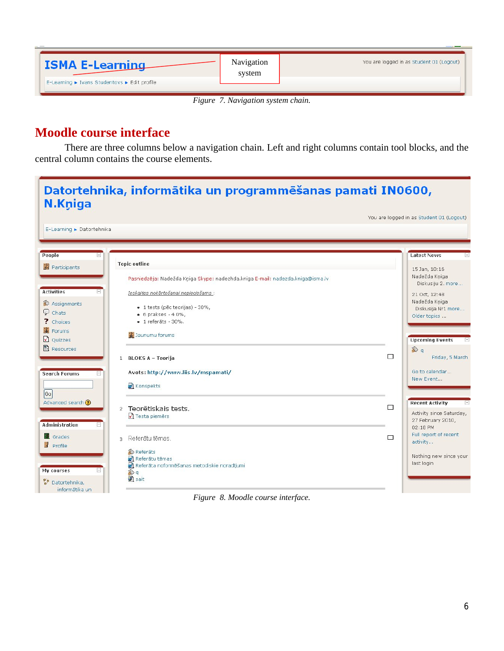| <b>ISMA E-Learning</b>                       | Navigation<br>system | You are logged in as Student 01 (Logout) |
|----------------------------------------------|----------------------|------------------------------------------|
| E-Learning ► Ivans Studentovs ► Edit profile |                      |                                          |

*Figure 7. Navigation system chain.*

#### **Moodle course interface**

There are three columns below a navigation chain. Left and right columns contain tool blocks, and the central column contains the course elements.

|                                          |                                                                                |   | You are logged in as Student 01 (Logout) |
|------------------------------------------|--------------------------------------------------------------------------------|---|------------------------------------------|
| E-Learning ▶ Datortehnika                |                                                                                |   |                                          |
| People<br>$\Box$                         |                                                                                |   | <b>Latest News</b>                       |
| Participants                             | <b>Topic outline</b>                                                           |   | 15 Jan, 10:16                            |
|                                          | Pasniedzēja: Nadežda Kņiga Skype: nadezhda.kniga E-mail: nadezda.kniga@isma.lv |   | Nadežda Kniga<br>Diskusiju 2. more       |
| <b>Activities</b><br>$\vert - \vert$     | Ieskaites nokārtošanai nepieciešams :                                          |   | 21 Oct, 12:48                            |
| Assignments                              |                                                                                |   | Nadežda Kniga                            |
| $\mathcal{Q}$ Chats                      | · 1 tests (pēc teorijas) - 30%,<br>$\bullet$ 6 prakses - 4 0%,                 |   | Diskusija Nr1 more                       |
| ? Choices                                | $\bullet$ 1 referāts - 30%.                                                    |   | Older topics                             |
| Forums                                   |                                                                                |   |                                          |
|                                          | 3 Jaunumu forums                                                               |   |                                          |
| Q Quizzes                                |                                                                                |   | <b>Upcoming Events</b>                   |
| <b>图</b> Resources                       |                                                                                |   | <sup>②</sup> q                           |
|                                          | 1 BLOKS A - Teorija                                                            | П | Friday, 5 March                          |
|                                          | Avots: http://www.liis.lv/mspamati/                                            |   | Go to calendar                           |
| <b>Search Forums</b><br>$\vert - \vert$  |                                                                                |   | New Event                                |
|                                          | konspekts                                                                      |   |                                          |
| $ G_0 $                                  |                                                                                |   |                                          |
| Advanced search (?)                      |                                                                                |   | <b>Recent Activity</b>                   |
|                                          | Teorētiskais tests.<br>$\overline{2}$                                          | П | Activity since Saturday,                 |
|                                          | ◯ Testa piemērs                                                                |   | 27 February 2010,                        |
| <b>Administration</b><br>$\vert - \vert$ |                                                                                |   | 02:18 PM                                 |
| <b>里</b> Grades                          |                                                                                |   | Full report of recent                    |
|                                          | Referātu tēmas.<br>3.                                                          | П | activity                                 |
| Profile                                  | Referāts                                                                       |   |                                          |
|                                          | Referātu tēmas                                                                 |   | Nothing new since your                   |
|                                          | Referāta noformēšanas metodiskie noradījumi                                    |   | last login                               |
| My courses<br>$\Box$                     | ≫ q                                                                            |   |                                          |
|                                          | sait                                                                           |   |                                          |

*Figure 8. Moodle course interface.*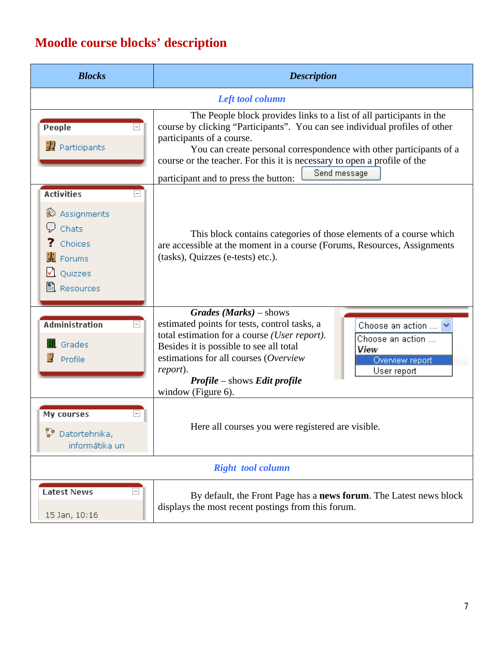## **Moodle course blocks' description**

| <b>Blocks</b>                                                                                                                  | <b>Description</b>                                                                                                                                                                                                                                                                                                                                                                                       |  |
|--------------------------------------------------------------------------------------------------------------------------------|----------------------------------------------------------------------------------------------------------------------------------------------------------------------------------------------------------------------------------------------------------------------------------------------------------------------------------------------------------------------------------------------------------|--|
| Left tool column                                                                                                               |                                                                                                                                                                                                                                                                                                                                                                                                          |  |
| People<br>图 Participants                                                                                                       | The People block provides links to a list of all participants in the<br>course by clicking "Participants". You can see individual profiles of other<br>participants of a course.<br>You can create personal correspondence with other participants of a<br>course or the teacher. For this it is necessary to open a profile of the<br>Send message<br>participant and to press the button:              |  |
| <b>Activities</b><br>iio Assignments<br><b>見</b> chats<br>?<br>Choices<br><b>K</b> Forums<br>Quizzes<br><sup>图</sup> Resources | This block contains categories of those elements of a course which<br>are accessible at the moment in a course (Forums, Resources, Assignments<br>(tasks), Quizzes (e-tests) etc.).                                                                                                                                                                                                                      |  |
| <b>Administration</b><br><b>里</b> Grades<br>Profile                                                                            | $Grades$ ( <i>Marks</i> ) – shows<br>estimated points for tests, control tasks, a<br>Choose an action $\ldots$ $\blacktriangleright$<br>total estimation for a course (User report).<br>Choose an action<br>Besides it is possible to see all total<br>View<br>estimations for all courses (Overview<br>Overview report<br>report).<br>User report<br>Profile - shows Edit profile<br>window (Figure 6). |  |
| My courses<br>್ರೌ<br>Datortehnika,<br>informātika un                                                                           | Here all courses you were registered are visible.                                                                                                                                                                                                                                                                                                                                                        |  |
| <b>Right tool column</b>                                                                                                       |                                                                                                                                                                                                                                                                                                                                                                                                          |  |
| $\Box$<br><b>Latest News</b><br>15 Jan, 10:16                                                                                  | By default, the Front Page has a news forum. The Latest news block<br>displays the most recent postings from this forum.                                                                                                                                                                                                                                                                                 |  |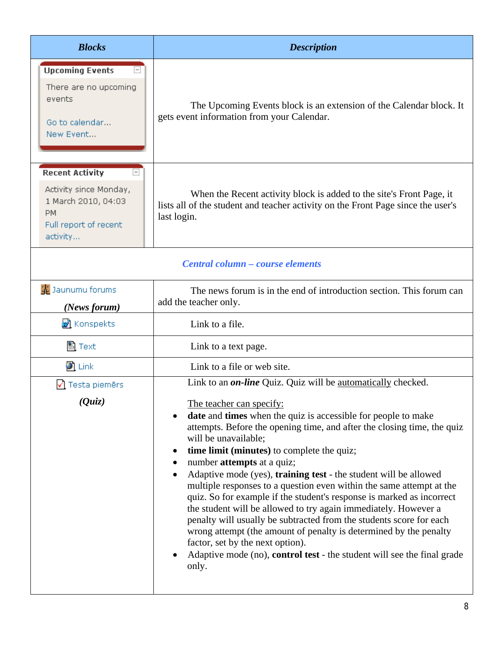| <b>Blocks</b>                                                                                                             | <b>Description</b>                                                                                                                                                                                                                                                                                                                                                                                                                                                                                                                                                                                                                                                                                                                                                                                                                                                                                                                                                           |
|---------------------------------------------------------------------------------------------------------------------------|------------------------------------------------------------------------------------------------------------------------------------------------------------------------------------------------------------------------------------------------------------------------------------------------------------------------------------------------------------------------------------------------------------------------------------------------------------------------------------------------------------------------------------------------------------------------------------------------------------------------------------------------------------------------------------------------------------------------------------------------------------------------------------------------------------------------------------------------------------------------------------------------------------------------------------------------------------------------------|
| <b>Upcoming Events</b><br>$\Box$<br>There are no upcoming<br>events<br>Go to calendar<br>New Event                        | The Upcoming Events block is an extension of the Calendar block. It<br>gets event information from your Calendar.                                                                                                                                                                                                                                                                                                                                                                                                                                                                                                                                                                                                                                                                                                                                                                                                                                                            |
| <b>Recent Activity</b><br>Activity since Monday,<br>1 March 2010, 04:03<br><b>PM</b><br>Full report of recent<br>activity | When the Recent activity block is added to the site's Front Page, it<br>lists all of the student and teacher activity on the Front Page since the user's<br>last login.                                                                                                                                                                                                                                                                                                                                                                                                                                                                                                                                                                                                                                                                                                                                                                                                      |
| Central column - course elements                                                                                          |                                                                                                                                                                                                                                                                                                                                                                                                                                                                                                                                                                                                                                                                                                                                                                                                                                                                                                                                                                              |
| Jaunumu forums<br>(News forum)                                                                                            | The news forum is in the end of introduction section. This forum can<br>add the teacher only.                                                                                                                                                                                                                                                                                                                                                                                                                                                                                                                                                                                                                                                                                                                                                                                                                                                                                |
| <b>v</b> Konspekts                                                                                                        | Link to a file.                                                                                                                                                                                                                                                                                                                                                                                                                                                                                                                                                                                                                                                                                                                                                                                                                                                                                                                                                              |
| 圖 Text                                                                                                                    | Link to a text page.                                                                                                                                                                                                                                                                                                                                                                                                                                                                                                                                                                                                                                                                                                                                                                                                                                                                                                                                                         |
| $\bullet$ Link                                                                                                            | Link to a file or web site.                                                                                                                                                                                                                                                                                                                                                                                                                                                                                                                                                                                                                                                                                                                                                                                                                                                                                                                                                  |
| Testa piemērs<br>(Quiz)                                                                                                   | Link to an <i>on-line</i> Quiz. Quiz will be <u>automatically</u> checked.<br>The teacher can specify:<br><b>date</b> and <b>times</b> when the quiz is accessible for people to make<br>٠<br>attempts. Before the opening time, and after the closing time, the quiz<br>will be unavailable;<br>time limit (minutes) to complete the quiz;<br>$\bullet$<br>number attempts at a quiz;<br>$\bullet$<br>Adaptive mode (yes), training test - the student will be allowed<br>$\bullet$<br>multiple responses to a question even within the same attempt at the<br>quiz. So for example if the student's response is marked as incorrect<br>the student will be allowed to try again immediately. However a<br>penalty will usually be subtracted from the students score for each<br>wrong attempt (the amount of penalty is determined by the penalty<br>factor, set by the next option).<br>Adaptive mode (no), control test - the student will see the final grade<br>only. |